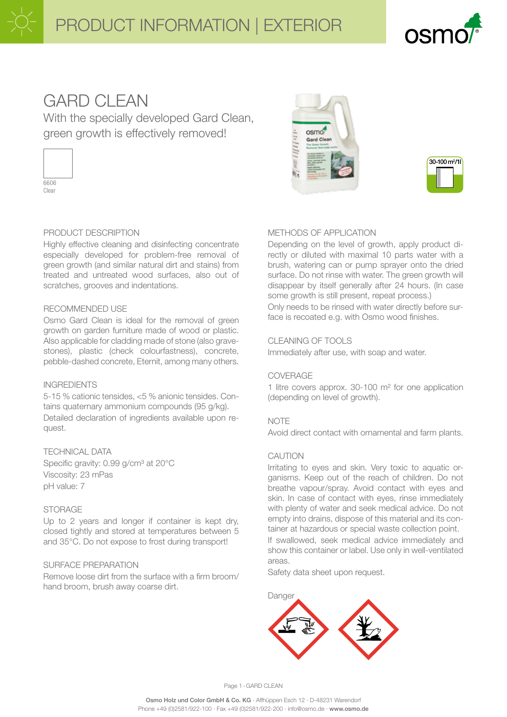# PRODUCT INFORMATION | EXTERIOR



# **GARD CLEAN**

With the specially developed Gard Clean, green growth is effectively removed!



### PRODUCT DESCRIPTION

Highly effective cleaning and disinfecting concentrate especially developed for problem-free removal of green growth (and similar natural dirt and stains) from treated and untreated wood surfaces, also out of scratches, grooves and indentations.

#### RECOMMENDED USE

Osmo Gard Clean is ideal for the removal of green growth on garden furniture made of wood or plastic. Also applicable for cladding made of stone (also gravestones), plastic (check colourfastness), concrete, pebble-dashed concrete, Eternit, among many others.

#### INGREDIENTS

5-15 % cationic tensides, <5 % anionic tensides. Contains quaternary ammonium compounds (95 g/kg). Detailed declaration of ingredients available upon request.

TECHNICAL DATA Specific gravity: 0.99 g/cm<sup>3</sup> at 20°C Viscosity: 23 mPas pH value: 7

#### **STORAGE**

Up to 2 years and longer if container is kept dry, closed tightly and stored at temperatures between 5 and 35°C. Do not expose to frost during transport!

#### SURFACE PREPARATION

Remove loose dirt from the surface with a firm broom/ hand broom, brush away coarse dirt.





#### METHODS OF APPLICATION

Depending on the level of growth, apply product directly or diluted with maximal 10 parts water with a brush, watering can or pump sprayer onto the dried surface. Do not rinse with water. The green growth will disappear by itself generally after 24 hours. (In case some growth is still present, repeat process.)

Only needs to be rinsed with water directly before surface is recoated e.g. with Osmo wood finishes.

#### CLEANING OF TOOLS

Immediately after use, with soap and water.

#### COVERAGE

1 litre covers approx. 30-100 m² for one application (depending on level of growth).

#### **NOTE**

Avoid direct contact with ornamental and farm plants.

#### CAUTION

Irritating to eyes and skin. Very toxic to aquatic organisms. Keep out of the reach of children. Do not breathe vapour/spray. Avoid contact with eyes and skin. In case of contact with eyes, rinse immediately with plenty of water and seek medical advice. Do not empty into drains, dispose of this material and its container at hazardous or special waste collection point. If swallowed, seek medical advice immediately and show this container or label. Use only in well-ventilated areas.

Safety data sheet upon request.



Page 1-GARD CLEAN